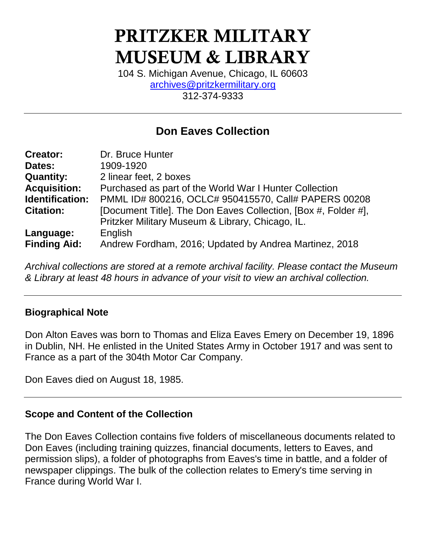# **PRITZKER MILITARY MUSEUM & LIBRARY**

104 S. Michigan Avenue, Chicago, IL 60603 [archives@pritzkermilitary.org](mailto:archives@pritzkermilitary.org) 312-374-9333

# **Don Eaves Collection**

| <b>Creator:</b>     | Dr. Bruce Hunter                                               |
|---------------------|----------------------------------------------------------------|
| Dates:              | 1909-1920                                                      |
| <b>Quantity:</b>    | 2 linear feet, 2 boxes                                         |
| <b>Acquisition:</b> | Purchased as part of the World War I Hunter Collection         |
| Identification:     | PMML ID# 800216, OCLC# 950415570, Call# PAPERS 00208           |
| <b>Citation:</b>    | [Document Title]. The Don Eaves Collection, [Box #, Folder #], |
|                     | Pritzker Military Museum & Library, Chicago, IL.               |
| Language:           | English                                                        |
| <b>Finding Aid:</b> | Andrew Fordham, 2016; Updated by Andrea Martinez, 2018         |

*Archival collections are stored at a remote archival facility. Please contact the Museum & Library at least 48 hours in advance of your visit to view an archival collection.*

### **Biographical Note**

Don Alton Eaves was born to Thomas and Eliza Eaves Emery on December 19, 1896 in Dublin, NH. He enlisted in the United States Army in October 1917 and was sent to France as a part of the 304th Motor Car Company.

Don Eaves died on August 18, 1985.

### **Scope and Content of the Collection**

The Don Eaves Collection contains five folders of miscellaneous documents related to Don Eaves (including training quizzes, financial documents, letters to Eaves, and permission slips), a folder of photographs from Eaves's time in battle, and a folder of newspaper clippings. The bulk of the collection relates to Emery's time serving in France during World War I.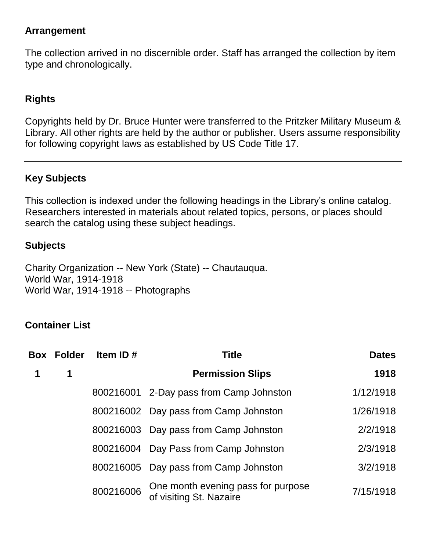## **Arrangement**

The collection arrived in no discernible order. Staff has arranged the collection by item type and chronologically.

# **Rights**

Copyrights held by Dr. Bruce Hunter were transferred to the Pritzker Military Museum & Library. All other rights are held by the author or publisher. Users assume responsibility for following copyright laws as established by US Code Title 17.

# **Key Subjects**

This collection is indexed under the following headings in the Library's online catalog. Researchers interested in materials about related topics, persons, or places should search the catalog using these subject headings.

#### **Subjects**

Charity Organization -- New York (State) -- Chautauqua. World War, 1914-1918 World War, 1914-1918 -- Photographs

### **Container List**

| <b>Box Folder</b> | Item ID#  | <b>Title</b>                                                  | <b>Dates</b> |
|-------------------|-----------|---------------------------------------------------------------|--------------|
| 1                 |           | <b>Permission Slips</b>                                       | 1918         |
|                   |           | 800216001 2-Day pass from Camp Johnston                       | 1/12/1918    |
|                   |           | 800216002 Day pass from Camp Johnston                         | 1/26/1918    |
|                   |           | 800216003 Day pass from Camp Johnston                         | 2/2/1918     |
|                   |           | 800216004 Day Pass from Camp Johnston                         | 2/3/1918     |
|                   |           | 800216005 Day pass from Camp Johnston                         | 3/2/1918     |
|                   | 800216006 | One month evening pass for purpose<br>of visiting St. Nazaire | 7/15/1918    |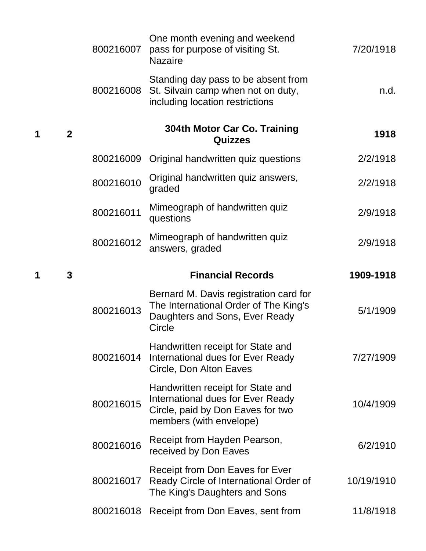|                  | 800216007 | One month evening and weekend<br>pass for purpose of visiting St.<br><b>Nazaire</b>                                                    | 7/20/1918  |
|------------------|-----------|----------------------------------------------------------------------------------------------------------------------------------------|------------|
|                  | 800216008 | Standing day pass to be absent from<br>St. Silvain camp when not on duty,<br>including location restrictions                           | n.d.       |
| $\boldsymbol{2}$ |           | 304th Motor Car Co. Training<br><b>Quizzes</b>                                                                                         | 1918       |
|                  | 800216009 | Original handwritten quiz questions                                                                                                    | 2/2/1918   |
|                  | 800216010 | Original handwritten quiz answers,<br>graded                                                                                           | 2/2/1918   |
|                  | 800216011 | Mimeograph of handwritten quiz<br>questions                                                                                            | 2/9/1918   |
|                  | 800216012 | Mimeograph of handwritten quiz<br>answers, graded                                                                                      | 2/9/1918   |
| 3                |           | <b>Financial Records</b>                                                                                                               | 1909-1918  |
|                  | 800216013 | Bernard M. Davis registration card for<br>The International Order of The King's<br>Daughters and Sons, Ever Ready<br>Circle            | 5/1/1909   |
|                  | 800216014 | Handwritten receipt for State and<br>International dues for Ever Ready<br>Circle, Don Alton Eaves                                      | 7/27/1909  |
|                  | 800216015 | Handwritten receipt for State and<br>International dues for Ever Ready<br>Circle, paid by Don Eaves for two<br>members (with envelope) | 10/4/1909  |
|                  | 800216016 | Receipt from Hayden Pearson,<br>received by Don Eaves                                                                                  | 6/2/1910   |
|                  | 800216017 | <b>Receipt from Don Eaves for Ever</b><br>Ready Circle of International Order of<br>The King's Daughters and Sons                      | 10/19/1910 |
|                  | 800216018 | Receipt from Don Eaves, sent from                                                                                                      | 11/8/1918  |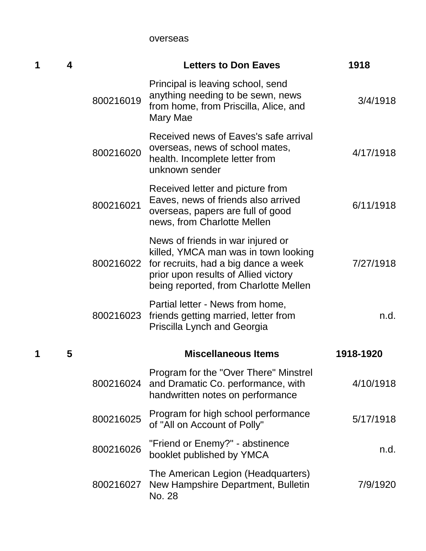overseas

| 1 | 4 |           | <b>Letters to Don Eaves</b>                                                                                                                                                                        | 1918      |
|---|---|-----------|----------------------------------------------------------------------------------------------------------------------------------------------------------------------------------------------------|-----------|
|   |   | 800216019 | Principal is leaving school, send<br>anything needing to be sewn, news<br>from home, from Priscilla, Alice, and<br>Mary Mae                                                                        | 3/4/1918  |
|   |   | 800216020 | Received news of Eaves's safe arrival<br>overseas, news of school mates,<br>health. Incomplete letter from<br>unknown sender                                                                       | 4/17/1918 |
|   |   | 800216021 | Received letter and picture from<br>Eaves, news of friends also arrived<br>overseas, papers are full of good<br>news, from Charlotte Mellen                                                        | 6/11/1918 |
|   |   | 800216022 | News of friends in war injured or<br>killed, YMCA man was in town looking<br>for recruits, had a big dance a week<br>prior upon results of Allied victory<br>being reported, from Charlotte Mellen | 7/27/1918 |
|   |   | 800216023 | Partial letter - News from home,<br>friends getting married, letter from<br>Priscilla Lynch and Georgia                                                                                            | n.d.      |
| 1 | 5 |           | <b>Miscellaneous Items</b>                                                                                                                                                                         | 1918-1920 |
|   |   | 800216024 | Program for the "Over There" Minstrel<br>and Dramatic Co. performance, with<br>handwritten notes on performance                                                                                    | 4/10/1918 |
|   |   | 800216025 | Program for high school performance<br>of "All on Account of Polly"                                                                                                                                | 5/17/1918 |
|   |   | 800216026 | "Friend or Enemy?" - abstinence<br>booklet published by YMCA                                                                                                                                       | n.d.      |
|   |   | 800216027 | The American Legion (Headquarters)<br>New Hampshire Department, Bulletin<br>No. 28                                                                                                                 | 7/9/1920  |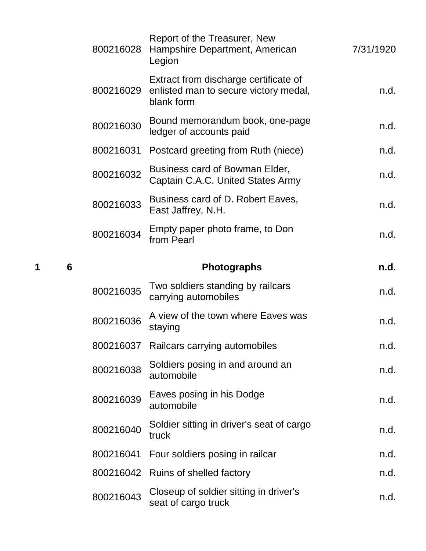|   |   | 800216028 | Report of the Treasurer, New<br>Hampshire Department, American<br>Legion                     | 7/31/1920 |
|---|---|-----------|----------------------------------------------------------------------------------------------|-----------|
|   |   | 800216029 | Extract from discharge certificate of<br>enlisted man to secure victory medal,<br>blank form | n.d.      |
|   |   | 800216030 | Bound memorandum book, one-page<br>ledger of accounts paid                                   | n.d.      |
|   |   | 800216031 | Postcard greeting from Ruth (niece)                                                          | n.d.      |
|   |   | 800216032 | Business card of Bowman Elder,<br>Captain C.A.C. United States Army                          | n.d.      |
|   |   | 800216033 | Business card of D. Robert Eaves,<br>East Jaffrey, N.H.                                      | n.d.      |
|   |   | 800216034 | Empty paper photo frame, to Don<br>from Pearl                                                | n.d.      |
| 1 | 6 |           | <b>Photographs</b>                                                                           | n.d.      |
|   |   |           |                                                                                              |           |
|   |   | 800216035 | Two soldiers standing by railcars<br>carrying automobiles                                    | n.d.      |
|   |   | 800216036 | A view of the town where Eaves was<br>staying                                                | n.d.      |
|   |   |           | 800216037 Railcars carrying automobiles                                                      | n.d.      |
|   |   | 800216038 | Soldiers posing in and around an<br>automobile                                               | n.d.      |
|   |   | 800216039 | Eaves posing in his Dodge<br>automobile                                                      | n.d.      |
|   |   | 800216040 | Soldier sitting in driver's seat of cargo<br>truck                                           | n.d.      |
|   |   | 800216041 | Four soldiers posing in railcar                                                              | n.d.      |
|   |   | 800216042 | Ruins of shelled factory                                                                     | n.d.      |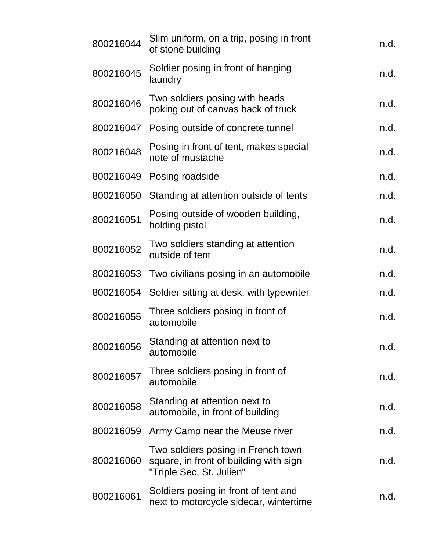| 800216044 | Slim uniform, on a trip, posing in front<br>of stone building                                            | n.d. |
|-----------|----------------------------------------------------------------------------------------------------------|------|
| 800216045 | Soldier posing in front of hanging<br>laundry                                                            | n.d. |
| 800216046 | Two soldiers posing with heads<br>poking out of canvas back of truck                                     | n.d. |
| 800216047 | Posing outside of concrete tunnel                                                                        | n.d. |
| 800216048 | Posing in front of tent, makes special<br>note of mustache                                               | n.d. |
| 800216049 | Posing roadside                                                                                          | n.d. |
| 800216050 | Standing at attention outside of tents                                                                   | n.d. |
| 800216051 | Posing outside of wooden building,<br>holding pistol                                                     | n.d. |
| 800216052 | Two soldiers standing at attention<br>outside of tent                                                    | n.d. |
|           | 800216053 Two civilians posing in an automobile                                                          | n.d. |
| 800216054 | Soldier sitting at desk, with typewriter                                                                 | n.d. |
| 800216055 | Three soldiers posing in front of<br>automobile                                                          | n.d. |
| 800216056 | Standing at attention next to<br>automobile                                                              | n.d. |
| 800216057 | Three soldiers posing in front of<br>automobile                                                          | n.d. |
| 800216058 | Standing at attention next to<br>automobile, in front of building                                        | n.d. |
| 800216059 | Army Camp near the Meuse river                                                                           | n.d. |
| 800216060 | Two soldiers posing in French town<br>square, in front of building with sign<br>"Triple Sec, St. Julien" | n.d. |
| 800216061 | Soldiers posing in front of tent and<br>next to motorcycle sidecar, wintertime                           | n.d. |